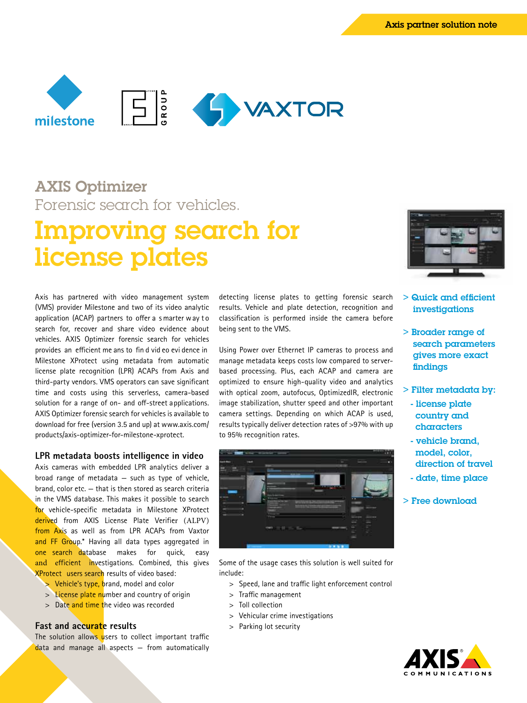

# AXIS Optimizer Forensic search for vehicles. Improving search for license plates

Axis has partnered with video management system (VMS) provider Milestone and two of its video analytic application (ACAP) partners to offer a smarter w ay to search for, recover and share video evidence about vehicles. AXIS Optimizer forensic search for vehicles provides an efficient me ans to fin d vid eo evi dence in Milestone XProtect using metadata from automatic license plate recognition (LPR) ACAPs from Axis and third-party vendors. VMS operators can save significant time and costs using this serverless, camera-based solution for a range of on- and off-street applications. AXIS Optimizer forensic search for vehicles is available to download for free (version 3.5 and up) at www.axis.com/ products/axis-optimizer-for-milestone-xprotect.

#### **LPR metadata boosts intelligence in video**

Axis cameras with embedded LPR analytics deliver a broad range of metadata — such as type of vehicle, brand, color etc. — that is then stored as search criteria in the VMS database. This makes it possible to search for vehicle-specific metadata in Milestone XProtect derived from AXIS License Plate Verifier (ALPV) from Axis as well as from LPR ACAPs from Vaxtor and FF Group.<sup>\*</sup> Having all data types aggregated in one search database makes for quick, easy and efficient investigations. Combined, this gives XProtect users search results of video based:

- $\triangleright$  Vehicle's type, brand, model and color
- > License plate number and country of origin
- > Date and time the video was recorded

#### **Fast and accurate results**

The solution allows users to collect important traffic data and manage all aspects - from automatically

detecting license plates to getting forensic search results. Vehicle and plate detection, recognition and classification is performed inside the camera before being sent to the VMS.

Using Power over Ethernet IP cameras to process and manage metadata keeps costs low compared to serverbased processing. Plus, each ACAP and camera are optimized to ensure high-quality video and analytics with optical zoom, autofocus, OptimizedIR, electronic image stabilization, shutter speed and other important camera settings. Depending on which ACAP is used, results typically deliver detection rates of >97% with up to 95% recognition rates.



Some of the usage cases this solution is well suited for include:

- > Speed, lane and traffic light enforcement control
- > Traffic management
- > Toll collection
- > Vehicular crime investigations
- > Parking lot security



- > Quick and efficient investigations
- > Broader range of search parameters gives more exact findings
- > Filter metadata by:
- license plate country and characters
- vehicle brand, model, color, direction of travel
- date, time place
- $>$  Free download